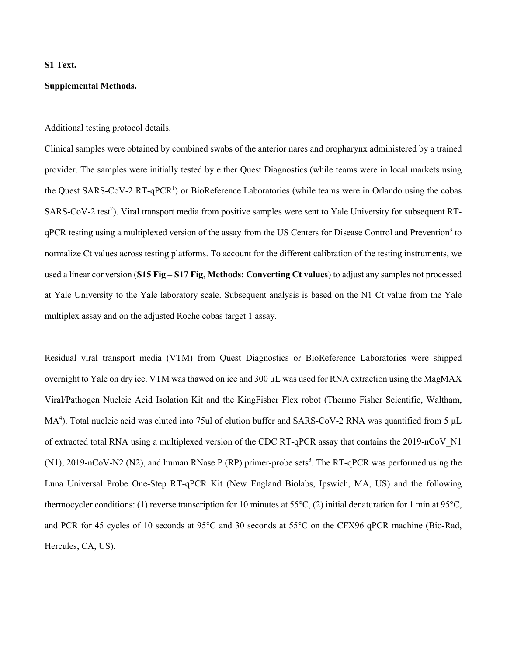## **S1 Text.**

# **Supplemental Methods.**

## Additional testing protocol details.

Clinical samples were obtained by combined swabs of the anterior nares and oropharynx administered by a trained provider. The samples were initially tested by either Quest Diagnostics (while teams were in local markets using the Quest SARS-CoV-2 RT-qPCR<sup>1</sup>) or BioReference Laboratories (while teams were in Orlando using the cobas SARS-CoV-2 test<sup>2</sup>). Viral transport media from positive samples were sent to Yale University for subsequent RTqPCR testing using a multiplexed version of the assay from the US Centers for Disease Control and Prevention<sup>3</sup> to normalize Ct values across testing platforms. To account for the different calibration of the testing instruments, we used a linear conversion (**S15 Fig – S17 Fig**, **Methods: Converting Ct values**) to adjust any samples not processed at Yale University to the Yale laboratory scale. Subsequent analysis is based on the N1 Ct value from the Yale multiplex assay and on the adjusted Roche cobas target 1 assay.

Residual viral transport media (VTM) from Quest Diagnostics or BioReference Laboratories were shipped overnight to Yale on dry ice. VTM was thawed on ice and 300 µL was used for RNA extraction using the MagMAX Viral/Pathogen Nucleic Acid Isolation Kit and the KingFisher Flex robot (Thermo Fisher Scientific, Waltham, MA<sup>4</sup>). Total nucleic acid was eluted into 75ul of elution buffer and SARS-CoV-2 RNA was quantified from 5 µL of extracted total RNA using a multiplexed version of the CDC RT-qPCR assay that contains the 2019-nCoV\_N1 (N1), 2019-nCoV-N2 (N2), and human RNase P (RP) primer-probe sets<sup>3</sup>. The RT-qPCR was performed using the Luna Universal Probe One-Step RT-qPCR Kit (New England Biolabs, Ipswich, MA, US) and the following thermocycler conditions: (1) reverse transcription for 10 minutes at 55°C, (2) initial denaturation for 1 min at 95°C, and PCR for 45 cycles of 10 seconds at 95°C and 30 seconds at 55°C on the CFX96 qPCR machine (Bio-Rad, Hercules, CA, US).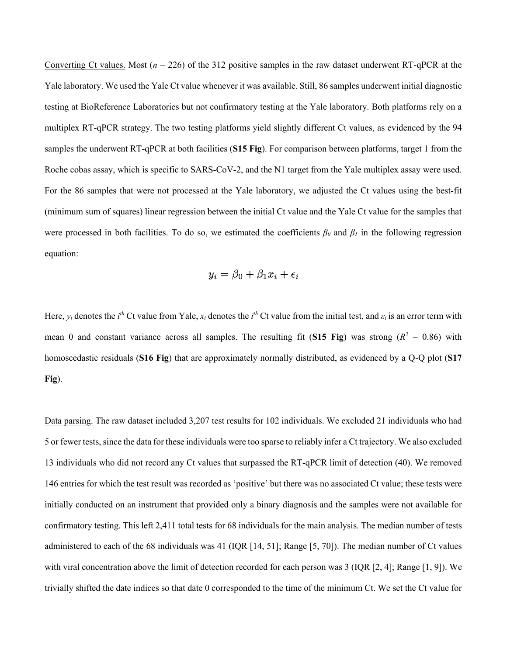Converting Ct values. Most  $(n = 226)$  of the 312 positive samples in the raw dataset underwent RT-qPCR at the Yale laboratory. We used the Yale Ct value whenever it was available. Still, 86 samples underwent initial diagnostic testing at BioReference Laboratories but not confirmatory testing at the Yale laboratory. Both platforms rely on a multiplex RT-qPCR strategy. The two testing platforms yield slightly different Ct values, as evidenced by the 94 samples the underwent RT-qPCR at both facilities (**S15 Fig**). For comparison between platforms, target 1 from the Roche cobas assay, which is specific to SARS-CoV-2, and the N1 target from the Yale multiplex assay were used. For the 86 samples that were not processed at the Yale laboratory, we adjusted the Ct values using the best-fit (minimum sum of squares) linear regression between the initial Ct value and the Yale Ct value for the samples that were processed in both facilities. To do so, we estimated the coefficients  $\beta_0$  and  $\beta_1$  in the following regression equation:

$$
y_i = \beta_0 + \beta_1 x_i + \epsilon_i
$$

Here,  $y_i$  denotes the *i*<sup>th</sup> Ct value from Yale,  $x_i$  denotes the *i*<sup>th</sup> Ct value from the initial test, and  $\varepsilon_i$  is an error term with mean 0 and constant variance across all samples. The resulting fit (**S15 Fig**) was strong ( $R^2 = 0.86$ ) with homoscedastic residuals (**S16 Fig**) that are approximately normally distributed, as evidenced by a Q-Q plot (**S17 Fig**).

Data parsing. The raw dataset included 3,207 test results for 102 individuals. We excluded 21 individuals who had 5 or fewer tests, since the data for these individuals were too sparse to reliably infer a Ct trajectory. We also excluded 13 individuals who did not record any Ct values that surpassed the RT-qPCR limit of detection (40). We removed 146 entries for which the test result was recorded as 'positive' but there was no associated Ct value; these tests were initially conducted on an instrument that provided only a binary diagnosis and the samples were not available for confirmatory testing. This left 2,411 total tests for 68 individuals for the main analysis. The median number of tests administered to each of the 68 individuals was 41 (IQR [14, 51]; Range [5, 70]). The median number of Ct values with viral concentration above the limit of detection recorded for each person was 3 (IQR [2, 4]; Range [1, 9]). We trivially shifted the date indices so that date 0 corresponded to the time of the minimum Ct. We set the Ct value for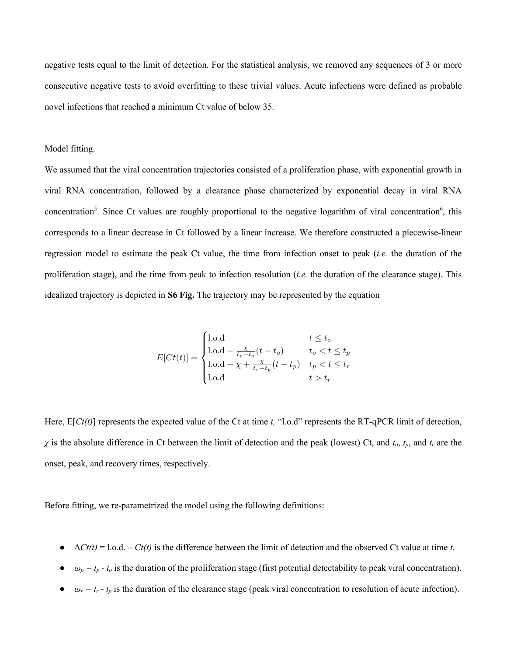negative tests equal to the limit of detection. For the statistical analysis, we removed any sequences of 3 or more consecutive negative tests to avoid overfitting to these trivial values. Acute infections were defined as probable novel infections that reached a minimum Ct value of below 35.

## Model fitting.

We assumed that the viral concentration trajectories consisted of a proliferation phase, with exponential growth in viral RNA concentration, followed by a clearance phase characterized by exponential decay in viral RNA concentration<sup>5</sup>. Since Ct values are roughly proportional to the negative logarithm of viral concentration<sup>6</sup>, this corresponds to a linear decrease in Ct followed by a linear increase. We therefore constructed a piecewise-linear regression model to estimate the peak Ct value, the time from infection onset to peak (*i.e.* the duration of the proliferation stage), and the time from peak to infection resolution (*i.e.* the duration of the clearance stage). This idealized trajectory is depicted in **S6 Fig.** The trajectory may be represented by the equation

$$
E[ Ct(t)] = \begin{cases} 1.\text{o.d} & t \le t_o \\ 1.\text{o.d} - \frac{\chi}{t_p - t_o}(t - t_o) & t_o < t \le t_p \\ 1.\text{o.d} - \chi + \frac{\chi}{t_r - t_p}(t - t_p) & t_p < t \le t_r \\ 1.\text{o.d} & t > t_r \end{cases}
$$

Here,  $E[*Ct(t)*]$  represents the expected value of the Ct at time *t*, "l.o.d" represents the RT-qPCR limit of detection, *χ* is the absolute difference in Ct between the limit of detection and the peak (lowest) Ct, and *to*, *tp*, and *tr* are the onset, peak, and recovery times, respectively.

Before fitting, we re-parametrized the model using the following definitions:

- $\triangle Ct(t) = 1 \cdot 0 \cdot d$ . *Ct(t)* is the difference between the limit of detection and the observed Ct value at time *t*.
- $\bullet$   $\omega_p = t_p t_o$  is the duration of the proliferation stage (first potential detectability to peak viral concentration).
- $\bullet$  *ω<sub>r</sub>* = *t<sub>r</sub> t<sub>p</sub>* is the duration of the clearance stage (peak viral concentration to resolution of acute infection).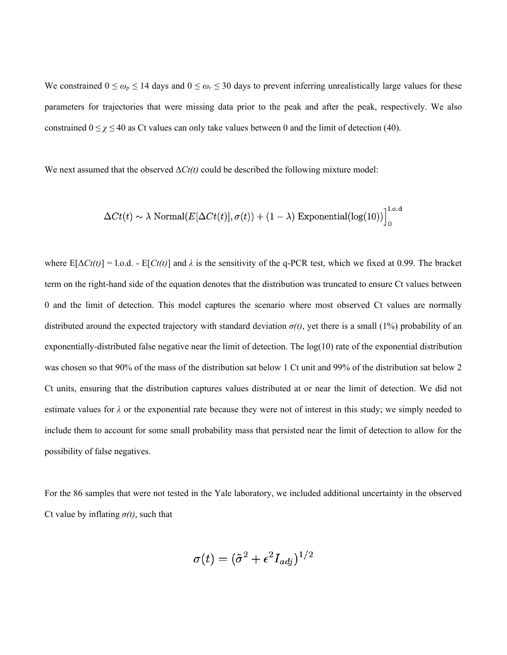We constrained  $0 \le \omega_p \le 14$  days and  $0 \le \omega_r \le 30$  days to prevent inferring unrealistically large values for these parameters for trajectories that were missing data prior to the peak and after the peak, respectively. We also constrained  $0 \le \chi \le 40$  as Ct values can only take values between 0 and the limit of detection (40).

We next assumed that the observed  $\Delta C_t(t)$  could be described the following mixture model:

$$
\Delta Ct(t) \sim \lambda \ \text{Normal}(E[\Delta Ct(t)], \sigma(t)) + (1 - \lambda) \ \text{Exponential}(\log(10))\Big]_0^{1.0.0}
$$

where  $E[\Delta Ct(t)] = 1$ .o.d. -  $E[ Ct(t)]$  and  $\lambda$  is the sensitivity of the q-PCR test, which we fixed at 0.99. The bracket term on the right-hand side of the equation denotes that the distribution was truncated to ensure Ct values between 0 and the limit of detection. This model captures the scenario where most observed Ct values are normally distributed around the expected trajectory with standard deviation *σ(t)*, yet there is a small (1%) probability of an exponentially-distributed false negative near the limit of detection. The  $log(10)$  rate of the exponential distribution was chosen so that 90% of the mass of the distribution sat below 1 Ct unit and 99% of the distribution sat below 2 Ct units, ensuring that the distribution captures values distributed at or near the limit of detection. We did not estimate values for *λ* or the exponential rate because they were not of interest in this study; we simply needed to include them to account for some small probability mass that persisted near the limit of detection to allow for the possibility of false negatives.

For the 86 samples that were not tested in the Yale laboratory, we included additional uncertainty in the observed Ct value by inflating  $\sigma(t)$ , such that

$$
\sigma(t)=(\tilde{\sigma}^2+\epsilon^2 I_{adj})^{1/2}
$$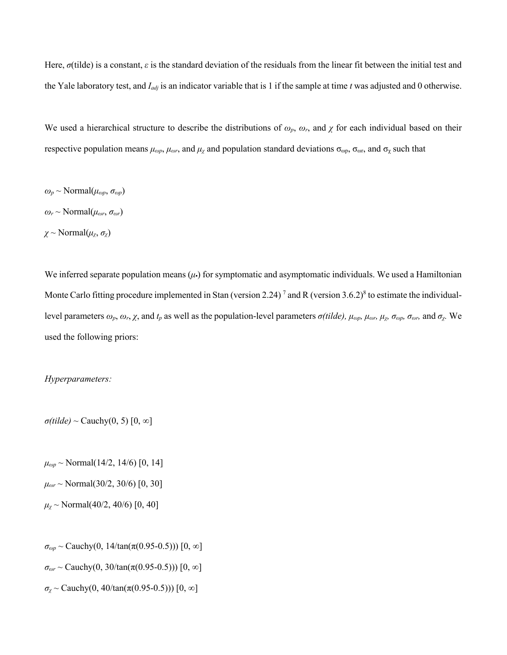Here, *σ*(tilde) is a constant, *ε* is the standard deviation of the residuals from the linear fit between the initial test and the Yale laboratory test, and *Iadj* is an indicator variable that is 1 if the sample at time *t* was adjusted and 0 otherwise.

We used a hierarchical structure to describe the distributions of  $\omega_p$ ,  $\omega_r$ , and  $\chi$  for each individual based on their respective population means  $\mu_{\omega p}$ ,  $\mu_{\omega r}$ , and  $\mu_{\chi}$  and population standard deviations  $\sigma_{\omega p}$ ,  $\sigma_{\omega r}$ , and  $\sigma_{\chi}$  such that

 $\omega_p \sim \text{Normal}(\mu_{op}, \sigma_{op})$  $\omega_r \sim \text{Normal}(\mu_{\omega r}, \sigma_{\omega r})$  $\chi \sim \text{Normal}(\mu_{\chi}, \sigma_{\chi})$ 

We inferred separate population means  $(\mu)$  for symptomatic and asymptomatic individuals. We used a Hamiltonian Monte Carlo fitting procedure implemented in Stan (version 2.24)<sup>7</sup> and R (version 3.6.2)<sup>8</sup> to estimate the individuallevel parameters *ωp*, *ωr*, *χ*, and *tp* as well as the population-level parameters *σ(tilde), μωp, μωr, μχ, σωp, σωr,* and *σχ.* We used the following priors:

#### *Hyperparameters:*

 $\sigma$ (*tilde*) ~ Cauchy(0, 5) [0, ∞]

 $\mu_{\omega p}$  ~ Normal(14/2, 14/6) [0, 14]

 $\mu_{\omega r}$  ~ Normal(30/2, 30/6) [0, 30]

 $\mu$ <sub>*x*</sub> ~ Normal(40/2, 40/6) [0, 40]

*σωp* ~ Cauchy(0, 14/tan(π(0.95-0.5))) [0, ∞]

 $\sigma_{\omega r}$  ~ Cauchy(0, 30/tan( $\pi$ (0.95-0.5))) [0,  $\infty$ ]

 $\sigma_{\chi}$  ~ Cauchy(0, 40/tan( $\pi$ (0.95-0.5))) [0,  $\infty$ ]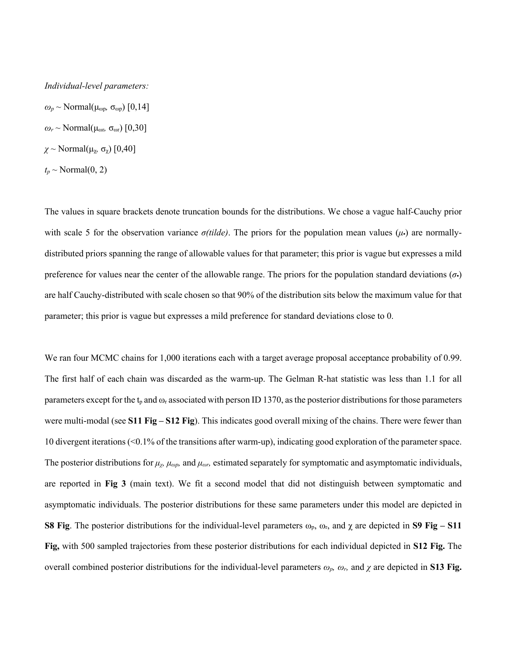#### *Individual-level parameters:*

 $ω_p \sim Normal(\mu_{\text{op}}, \sigma_{\text{op}})$  [0,14] *ωr* ~ Normal(μωr*,* σωr) [0,30] *χ* ~ Normal(μχ*,* σχ) [0,40]

 $t_p \sim \text{Normal}(0, 2)$ 

The values in square brackets denote truncation bounds for the distributions. We chose a vague half-Cauchy prior with scale 5 for the observation variance  $\sigma(tilde)$ . The priors for the population mean values ( $\mu$ **)** are normallydistributed priors spanning the range of allowable values for that parameter; this prior is vague but expresses a mild preference for values near the center of the allowable range. The priors for the population standard deviations (*σ•*) are half Cauchy-distributed with scale chosen so that 90% of the distribution sits below the maximum value for that parameter; this prior is vague but expresses a mild preference for standard deviations close to 0.

We ran four MCMC chains for 1,000 iterations each with a target average proposal acceptance probability of 0.99. The first half of each chain was discarded as the warm-up. The Gelman R-hat statistic was less than 1.1 for all parameters except for the  $t_p$  and  $\omega_r$  associated with person ID 1370, as the posterior distributions for those parameters were multi-modal (see **S11 Fig – S12 Fig**). This indicates good overall mixing of the chains. There were fewer than 10 divergent iterations (<0.1% of the transitions after warm-up), indicating good exploration of the parameter space. The posterior distributions for  $\mu_{\chi}$ ,  $\mu_{\omega p}$ , and  $\mu_{\omega r}$ , estimated separately for symptomatic and asymptomatic individuals, are reported in **Fig 3** (main text). We fit a second model that did not distinguish between symptomatic and asymptomatic individuals. The posterior distributions for these same parameters under this model are depicted in **S8 Fig**. The posterior distributions for the individual-level parameters  $\omega_p$ ,  $\omega_r$ , and  $\chi$  are depicted in **S9 Fig** – **S11 Fig,** with 500 sampled trajectories from these posterior distributions for each individual depicted in **S12 Fig.** The overall combined posterior distributions for the individual-level parameters *ωp, ωr,* and *χ* are depicted in **S13 Fig.**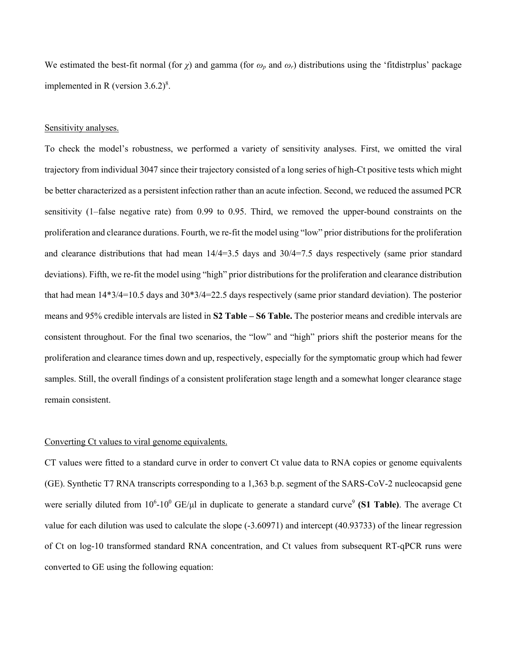We estimated the best-fit normal (for *χ*) and gamma (for *ωp* and *ωr*) distributions using the 'fitdistrplus' package implemented in R (version  $3.6.2$ )<sup>8</sup>.

## Sensitivity analyses.

To check the model's robustness, we performed a variety of sensitivity analyses. First, we omitted the viral trajectory from individual 3047 since their trajectory consisted of a long series of high-Ct positive tests which might be better characterized as a persistent infection rather than an acute infection. Second, we reduced the assumed PCR sensitivity (1–false negative rate) from 0.99 to 0.95. Third, we removed the upper-bound constraints on the proliferation and clearance durations. Fourth, we re-fit the model using "low" prior distributions for the proliferation and clearance distributions that had mean 14/4=3.5 days and 30/4=7.5 days respectively (same prior standard deviations). Fifth, we re-fit the model using "high" prior distributions for the proliferation and clearance distribution that had mean 14\*3/4=10.5 days and 30\*3/4=22.5 days respectively (same prior standard deviation). The posterior means and 95% credible intervals are listed in **S2 Table – S6 Table.** The posterior means and credible intervals are consistent throughout. For the final two scenarios, the "low" and "high" priors shift the posterior means for the proliferation and clearance times down and up, respectively, especially for the symptomatic group which had fewer samples. Still, the overall findings of a consistent proliferation stage length and a somewhat longer clearance stage remain consistent.

# Converting Ct values to viral genome equivalents.

CT values were fitted to a standard curve in order to convert Ct value data to RNA copies or genome equivalents (GE). Synthetic T7 RNA transcripts corresponding to a 1,363 b.p. segment of the SARS-CoV-2 nucleocapsid gene were serially diluted from 10<sup>6</sup>-10<sup>0</sup> GE/μl in duplicate to generate a standard curve<sup>9</sup> (S1 Table). The average Ct value for each dilution was used to calculate the slope (-3.60971) and intercept (40.93733) of the linear regression of Ct on log-10 transformed standard RNA concentration, and Ct values from subsequent RT-qPCR runs were converted to GE using the following equation: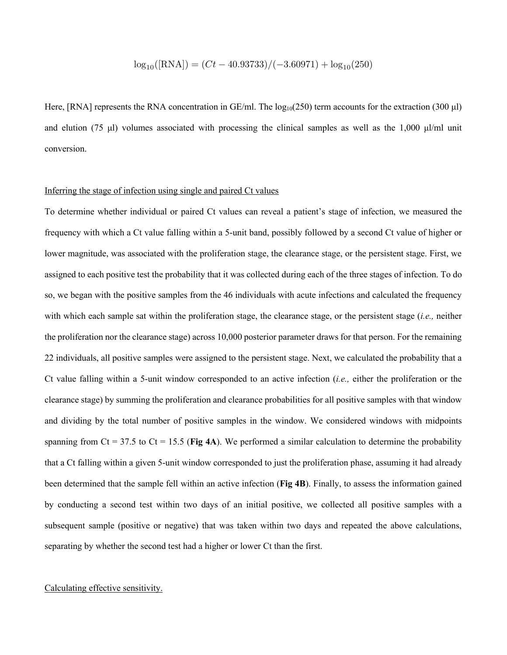$$
\log_{10}([RNA]) = (Ct - 40.93733)/(-3.60971) + \log_{10}(250)
$$

Here, [RNA] represents the RNA concentration in  $GE/ml$ . The  $log_{10}(250)$  term accounts for the extraction (300 µl) and elution (75 μl) volumes associated with processing the clinical samples as well as the 1,000 μl/ml unit conversion.

# Inferring the stage of infection using single and paired Ct values

To determine whether individual or paired Ct values can reveal a patient's stage of infection, we measured the frequency with which a Ct value falling within a 5-unit band, possibly followed by a second Ct value of higher or lower magnitude, was associated with the proliferation stage, the clearance stage, or the persistent stage. First, we assigned to each positive test the probability that it was collected during each of the three stages of infection. To do so, we began with the positive samples from the 46 individuals with acute infections and calculated the frequency with which each sample sat within the proliferation stage, the clearance stage, or the persistent stage (*i.e.,* neither the proliferation nor the clearance stage) across 10,000 posterior parameter draws for that person. For the remaining 22 individuals, all positive samples were assigned to the persistent stage. Next, we calculated the probability that a Ct value falling within a 5-unit window corresponded to an active infection (*i.e.,* either the proliferation or the clearance stage) by summing the proliferation and clearance probabilities for all positive samples with that window and dividing by the total number of positive samples in the window. We considered windows with midpoints spanning from Ct = 37.5 to Ct = 15.5 (**Fig 4A**). We performed a similar calculation to determine the probability that a Ct falling within a given 5-unit window corresponded to just the proliferation phase, assuming it had already been determined that the sample fell within an active infection (**Fig 4B**). Finally, to assess the information gained by conducting a second test within two days of an initial positive, we collected all positive samples with a subsequent sample (positive or negative) that was taken within two days and repeated the above calculations, separating by whether the second test had a higher or lower Ct than the first.

# Calculating effective sensitivity.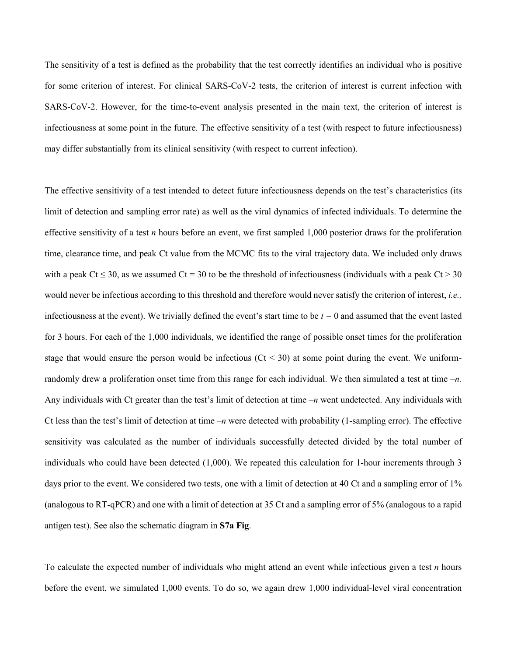The sensitivity of a test is defined as the probability that the test correctly identifies an individual who is positive for some criterion of interest. For clinical SARS-CoV-2 tests, the criterion of interest is current infection with SARS-CoV-2. However, for the time-to-event analysis presented in the main text, the criterion of interest is infectiousness at some point in the future. The effective sensitivity of a test (with respect to future infectiousness) may differ substantially from its clinical sensitivity (with respect to current infection).

The effective sensitivity of a test intended to detect future infectiousness depends on the test's characteristics (its limit of detection and sampling error rate) as well as the viral dynamics of infected individuals. To determine the effective sensitivity of a test *n* hours before an event, we first sampled 1,000 posterior draws for the proliferation time, clearance time, and peak Ct value from the MCMC fits to the viral trajectory data. We included only draws with a peak Ct  $\leq$  30, as we assumed Ct = 30 to be the threshold of infectiousness (individuals with a peak Ct > 30 would never be infectious according to this threshold and therefore would never satisfy the criterion of interest, *i.e.,* infectiousness at the event). We trivially defined the event's start time to be *t =* 0 and assumed that the event lasted for 3 hours. For each of the 1,000 individuals, we identified the range of possible onset times for the proliferation stage that would ensure the person would be infectious  $(Ct < 30)$  at some point during the event. We uniformrandomly drew a proliferation onset time from this range for each individual. We then simulated a test at time *–n.*  Any individuals with Ct greater than the test's limit of detection at time *–n* went undetected. Any individuals with Ct less than the test's limit of detection at time  $-n$  were detected with probability (1-sampling error). The effective sensitivity was calculated as the number of individuals successfully detected divided by the total number of individuals who could have been detected (1,000). We repeated this calculation for 1-hour increments through 3 days prior to the event. We considered two tests, one with a limit of detection at 40 Ct and a sampling error of 1% (analogous to RT-qPCR) and one with a limit of detection at 35 Ct and a sampling error of 5% (analogous to a rapid antigen test). See also the schematic diagram in **S7a Fig**.

To calculate the expected number of individuals who might attend an event while infectious given a test *n* hours before the event, we simulated 1,000 events. To do so, we again drew 1,000 individual-level viral concentration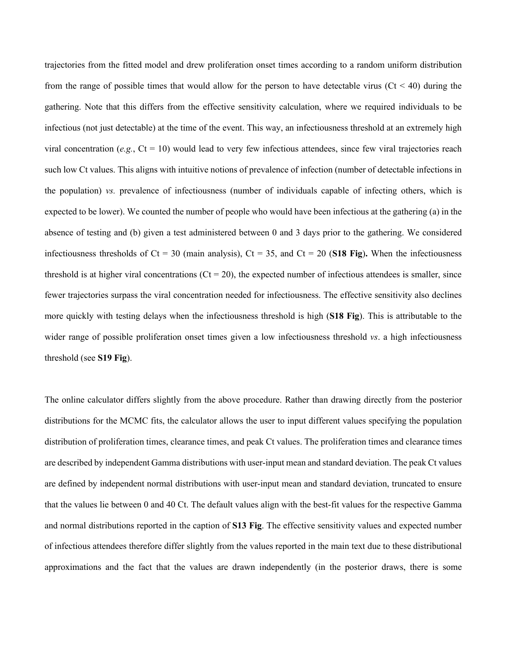trajectories from the fitted model and drew proliferation onset times according to a random uniform distribution from the range of possible times that would allow for the person to have detectable virus ( $Ct < 40$ ) during the gathering. Note that this differs from the effective sensitivity calculation, where we required individuals to be infectious (not just detectable) at the time of the event. This way, an infectiousness threshold at an extremely high viral concentration ( $e.g., Ct = 10$ ) would lead to very few infectious attendees, since few viral trajectories reach such low Ct values. This aligns with intuitive notions of prevalence of infection (number of detectable infections in the population) *vs.* prevalence of infectiousness (number of individuals capable of infecting others, which is expected to be lower). We counted the number of people who would have been infectious at the gathering (a) in the absence of testing and (b) given a test administered between 0 and 3 days prior to the gathering. We considered infectiousness thresholds of  $Ct = 30$  (main analysis),  $Ct = 35$ , and  $Ct = 20$  (**S18 Fig**). When the infectiousness threshold is at higher viral concentrations ( $Ct = 20$ ), the expected number of infectious attendees is smaller, since fewer trajectories surpass the viral concentration needed for infectiousness. The effective sensitivity also declines more quickly with testing delays when the infectiousness threshold is high (**S18 Fig**). This is attributable to the wider range of possible proliferation onset times given a low infectiousness threshold *vs*. a high infectiousness threshold (see **S19 Fig**).

The online calculator differs slightly from the above procedure. Rather than drawing directly from the posterior distributions for the MCMC fits, the calculator allows the user to input different values specifying the population distribution of proliferation times, clearance times, and peak Ct values. The proliferation times and clearance times are described by independent Gamma distributions with user-input mean and standard deviation. The peak Ct values are defined by independent normal distributions with user-input mean and standard deviation, truncated to ensure that the values lie between 0 and 40 Ct. The default values align with the best-fit values for the respective Gamma and normal distributions reported in the caption of **S13 Fig**. The effective sensitivity values and expected number of infectious attendees therefore differ slightly from the values reported in the main text due to these distributional approximations and the fact that the values are drawn independently (in the posterior draws, there is some